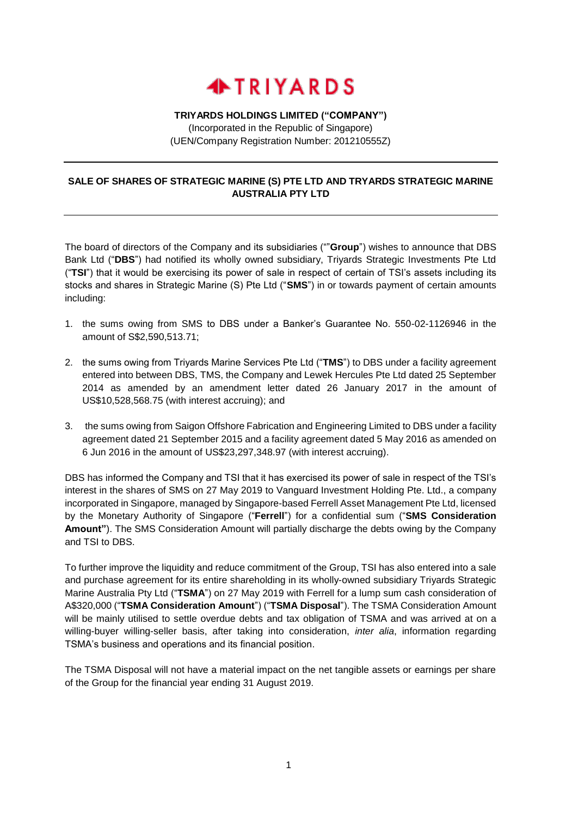

## **TRIYARDS HOLDINGS LIMITED ("COMPANY")**

(Incorporated in the Republic of Singapore) (UEN/Company Registration Number: 201210555Z)

## **SALE OF SHARES OF STRATEGIC MARINE (S) PTE LTD AND TRYARDS STRATEGIC MARINE AUSTRALIA PTY LTD**

The board of directors of the Company and its subsidiaries (""**Group**") wishes to announce that DBS Bank Ltd ("**DBS**") had notified its wholly owned subsidiary, Triyards Strategic Investments Pte Ltd ("**TSI**") that it would be exercising its power of sale in respect of certain of TSI's assets including its stocks and shares in Strategic Marine (S) Pte Ltd ("**SMS**") in or towards payment of certain amounts including:

- 1. the sums owing from SMS to DBS under a Banker's Guarantee No. 550-02-1126946 in the amount of S\$2,590,513.71;
- 2. the sums owing from Triyards Marine Services Pte Ltd ("**TMS**") to DBS under a facility agreement entered into between DBS, TMS, the Company and Lewek Hercules Pte Ltd dated 25 September 2014 as amended by an amendment letter dated 26 January 2017 in the amount of US\$10,528,568.75 (with interest accruing); and
- 3. the sums owing from Saigon Offshore Fabrication and Engineering Limited to DBS under a facility agreement dated 21 September 2015 and a facility agreement dated 5 May 2016 as amended on 6 Jun 2016 in the amount of US\$23,297,348.97 (with interest accruing).

DBS has informed the Company and TSI that it has exercised its power of sale in respect of the TSI's interest in the shares of SMS on 27 May 2019 to Vanguard Investment Holding Pte. Ltd., a company incorporated in Singapore, managed by Singapore-based Ferrell Asset Management Pte Ltd, licensed by the Monetary Authority of Singapore ("**Ferrell**") for a confidential sum ("**SMS Consideration Amount"**). The SMS Consideration Amount will partially discharge the debts owing by the Company and TSI to DBS.

To further improve the liquidity and reduce commitment of the Group, TSI has also entered into a sale and purchase agreement for its entire shareholding in its wholly-owned subsidiary Triyards Strategic Marine Australia Pty Ltd ("**TSMA**") on 27 May 2019 with Ferrell for a lump sum cash consideration of A\$320,000 ("**TSMA Consideration Amount**") ("**TSMA Disposal**"). The TSMA Consideration Amount will be mainly utilised to settle overdue debts and tax obligation of TSMA and was arrived at on a willing-buyer willing-seller basis, after taking into consideration, *inter alia*, information regarding TSMA's business and operations and its financial position.

The TSMA Disposal will not have a material impact on the net tangible assets or earnings per share of the Group for the financial year ending 31 August 2019.